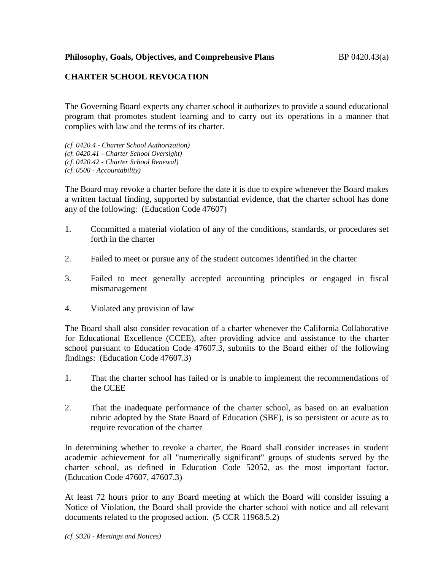**Philosophy, Goals, Objectives, and Comprehensive Plans** BP 0420.43(a)

## **CHARTER SCHOOL REVOCATION**

The Governing Board expects any charter school it authorizes to provide a sound educational program that promotes student learning and to carry out its operations in a manner that complies with law and the terms of its charter.

*(cf. 0420.4 - Charter School Authorization) (cf. 0420.41 - Charter School Oversight) (cf. 0420.42 - Charter School Renewal) (cf. 0500 - Accountability)*

The Board may revoke a charter before the date it is due to expire whenever the Board makes a written factual finding, supported by substantial evidence, that the charter school has done any of the following: (Education Code 47607)

- 1. Committed a material violation of any of the conditions, standards, or procedures set forth in the charter
- 2. Failed to meet or pursue any of the student outcomes identified in the charter
- 3. Failed to meet generally accepted accounting principles or engaged in fiscal mismanagement
- 4. Violated any provision of law

The Board shall also consider revocation of a charter whenever the California Collaborative for Educational Excellence (CCEE), after providing advice and assistance to the charter school pursuant to Education Code 47607.3, submits to the Board either of the following findings: (Education Code 47607.3)

- 1. That the charter school has failed or is unable to implement the recommendations of the CCEE
- 2. That the inadequate performance of the charter school, as based on an evaluation rubric adopted by the State Board of Education (SBE), is so persistent or acute as to require revocation of the charter

In determining whether to revoke a charter, the Board shall consider increases in student academic achievement for all "numerically significant" groups of students served by the charter school, as defined in Education Code 52052, as the most important factor. (Education Code 47607, 47607.3)

At least 72 hours prior to any Board meeting at which the Board will consider issuing a Notice of Violation, the Board shall provide the charter school with notice and all relevant documents related to the proposed action. (5 CCR 11968.5.2)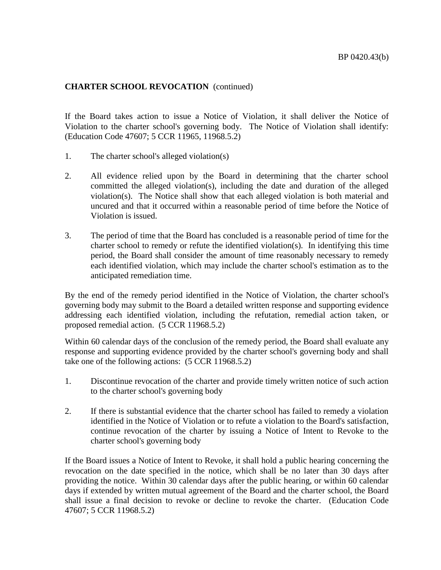## **CHARTER SCHOOL REVOCATION** (continued)

If the Board takes action to issue a Notice of Violation, it shall deliver the Notice of Violation to the charter school's governing body. The Notice of Violation shall identify: (Education Code 47607; 5 CCR 11965, 11968.5.2)

- 1. The charter school's alleged violation(s)
- 2. All evidence relied upon by the Board in determining that the charter school committed the alleged violation(s), including the date and duration of the alleged violation(s). The Notice shall show that each alleged violation is both material and uncured and that it occurred within a reasonable period of time before the Notice of Violation is issued.
- 3. The period of time that the Board has concluded is a reasonable period of time for the charter school to remedy or refute the identified violation(s). In identifying this time period, the Board shall consider the amount of time reasonably necessary to remedy each identified violation, which may include the charter school's estimation as to the anticipated remediation time.

By the end of the remedy period identified in the Notice of Violation, the charter school's governing body may submit to the Board a detailed written response and supporting evidence addressing each identified violation, including the refutation, remedial action taken, or proposed remedial action. (5 CCR 11968.5.2)

Within 60 calendar days of the conclusion of the remedy period, the Board shall evaluate any response and supporting evidence provided by the charter school's governing body and shall take one of the following actions: (5 CCR 11968.5.2)

- 1. Discontinue revocation of the charter and provide timely written notice of such action to the charter school's governing body
- 2. If there is substantial evidence that the charter school has failed to remedy a violation identified in the Notice of Violation or to refute a violation to the Board's satisfaction, continue revocation of the charter by issuing a Notice of Intent to Revoke to the charter school's governing body

If the Board issues a Notice of Intent to Revoke, it shall hold a public hearing concerning the revocation on the date specified in the notice, which shall be no later than 30 days after providing the notice. Within 30 calendar days after the public hearing, or within 60 calendar days if extended by written mutual agreement of the Board and the charter school, the Board shall issue a final decision to revoke or decline to revoke the charter. (Education Code 47607; 5 CCR 11968.5.2)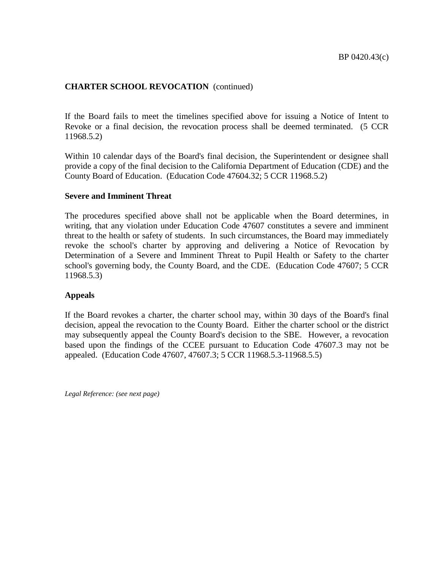## **CHARTER SCHOOL REVOCATION** (continued)

If the Board fails to meet the timelines specified above for issuing a Notice of Intent to Revoke or a final decision, the revocation process shall be deemed terminated. (5 CCR 11968.5.2)

Within 10 calendar days of the Board's final decision, the Superintendent or designee shall provide a copy of the final decision to the California Department of Education (CDE) and the County Board of Education. (Education Code 47604.32; 5 CCR 11968.5.2)

#### **Severe and Imminent Threat**

The procedures specified above shall not be applicable when the Board determines, in writing, that any violation under Education Code 47607 constitutes a severe and imminent threat to the health or safety of students. In such circumstances, the Board may immediately revoke the school's charter by approving and delivering a Notice of Revocation by Determination of a Severe and Imminent Threat to Pupil Health or Safety to the charter school's governing body, the County Board, and the CDE. (Education Code 47607; 5 CCR 11968.5.3)

### **Appeals**

If the Board revokes a charter, the charter school may, within 30 days of the Board's final decision, appeal the revocation to the County Board. Either the charter school or the district may subsequently appeal the County Board's decision to the SBE. However, a revocation based upon the findings of the CCEE pursuant to Education Code 47607.3 may not be appealed. (Education Code 47607, 47607.3; 5 CCR 11968.5.3-11968.5.5)

*Legal Reference: (see next page)*